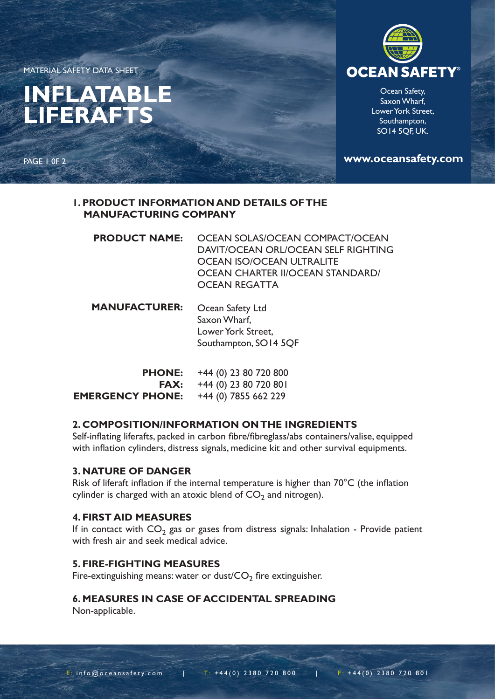MATERIAL SAFETY DATA SHEET

PAGE 1 0F 2

# **INFLATABLE LIFERAFTS**

**OCEAN SAFET** 

Ocean Safety, Saxon Wharf, Lower York Street, Southampton, SO14 5QF, UK.

**www.oceansafety.com**

## **1. PRODUCT INFORMATION AND DETAILS OF THE MANUFACTURING COMPANY**

| <b>PRODUCT NAME: OCEAN SOLAS/OCEAN COMPACT/OCEAN</b> |
|------------------------------------------------------|
| DAVIT/OCEAN ORL/OCEAN SELF RIGHTING                  |
| OCEAN ISO/OCEAN ULTRALITE                            |
| OCEAN CHARTER II/OCEAN STANDARD/                     |
| <b>OCEAN REGATTA</b>                                 |
|                                                      |

| <b>MANUFACTURER:</b> | Ocean Safety Ltd      |
|----------------------|-----------------------|
|                      | Saxon Wharf,          |
|                      | Lower York Street,    |
|                      | Southampton, SO14 5QF |

| <b>PHONE:</b>           | +44 (0) 23 80 720 800   |
|-------------------------|-------------------------|
| <b>FAX:</b>             | $+44$ (0) 23 80 720 801 |
| <b>EMERGENCY PHONE:</b> | $+44$ (0) 7855 662 229  |

## **2. COMPOSITION/INFORMATION ON THE INGREDIENTS**

Self-inflating liferafts, packed in carbon fibre/fibreglass/abs containers/valise, equipped with inflation cylinders, distress signals, medicine kit and other survival equipments.

#### **3. NATURE OF DANGER**

Risk of liferaft inflation if the internal temperature is higher than 70°C (the inflation cylinder is charged with an atoxic blend of  $CO<sub>2</sub>$  and nitrogen).

## **4. FIRST AID MEASURES**

If in contact with  $CO_2$  gas or gases from distress signals: Inhalation - Provide patient with fresh air and seek medical advice.

### **5. FIRE-FIGHTING MEASURES**

Fire-extinguishing means: water or dust/ $CO<sub>2</sub>$  fire extinguisher.

## **6. MEASURES IN CASE OF ACCIDENTAL SPREADING**

Non-applicable.